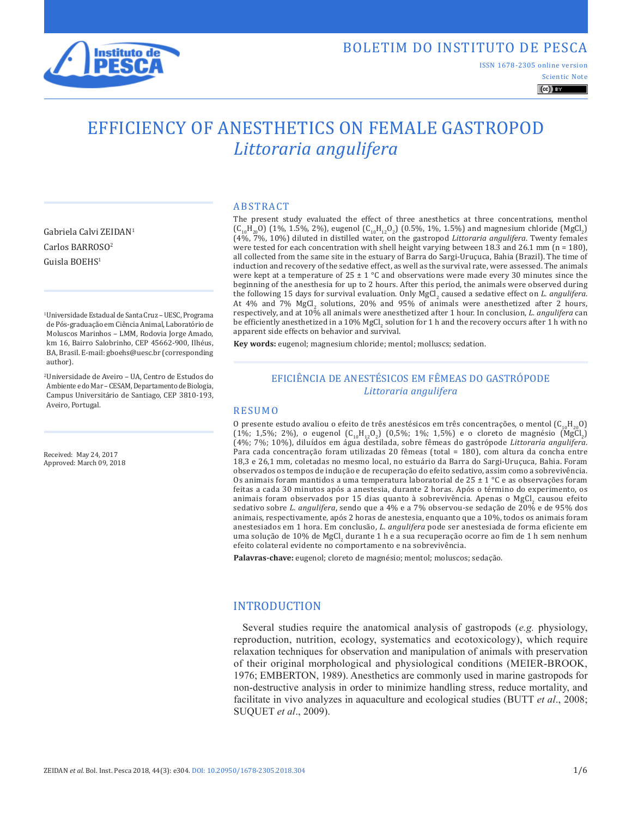

## BOLETIM DO INSTITUTO DE PESCA

ISSN 1678-2305 online version

#### Scientic Note  $\left(\mathrm{cc}\right)$  BY

# EFFICIENCY OF ANESTHETICS ON FEMALE GASTROPOD *Littoraria angulifera*

Gabriela Calvi ZEIDAN1 Carlos BARROSO2 Guisla BOEHS1

1Universidade Estadual de Santa Cruz – UESC, Programa de Pós-graduação em Ciência Animal, Laboratório de Moluscos Marinhos – LMM, Rodovia Jorge Amado, km 16, Bairro Salobrinho, CEP 45662-900, Ilhéus, BA, Brasil. E-mail: gboehs@uesc.br (corresponding author).

2Universidade de Aveiro – UA, Centro de Estudos do Ambiente e do Mar – CESAM, Departamento de Biologia, Campus Universitário de Santiago, CEP 3810-193, Aveiro, Portugal.

Received: May 24, 2017 Approved: March 09, 2018

#### ABSTRACT

The present study evaluated the effect of three anesthetics at three concentrations, menthol (C<sub>10</sub>H<sub>20</sub>O) (1%, 1.5%, 2%), eugenol (C<sub>10</sub>H<sub>12</sub>O<sub>2</sub>) (0.5%, 1%, 1.5%) and magnesium chloride (MgCl<sub>2</sub>)<br>(4%, 7%, 10%) diluted in distilled water, on the gastropod *Littoraria angulifera*. Twenty females were tested for each concentration with shell height varying between 18.3 and 26.1 mm ( $n = 180$ ), all collected from the same site in the estuary of Barra do Sargi-Uruçuca, Bahia (Brazil). The time of induction and recovery of the sedative effect, as well as the survival rate, were assessed. The animals were kept at a temperature of  $25 \pm 1$  °C and observations were made every 30 minutes since the beginning of the anesthesia for up to 2 hours. After this period, the animals were observed during the following 15 days for survival evaluation. Only MgCl<sub>2</sub> caused a sedative effect on *L. angulifera*. At 4% and 7% MgCl<sub>2</sub> solutions, 20% and 95% of animals were anesthetized after 2 hours, respectively, and at 10% all animals were anesthetized after 1 hour. In conclusion, *L. angulifera* can be efficiently anesthetized in a  $10\%$  MgCl<sub>2</sub> solution for 1 h and the recovery occurs after 1 h with no apparent side effects on behavior and survival.

**Key words:** eugenol; magnesium chloride; mentol; molluscs; sedation.

## EFICIÊNCIA DE ANESTÉSICOS EM FÊMEAS DO GASTRÓPODE *Littoraria angulifera*

#### RESUMO

O presente estudo avaliou o efeito de três anestésicos em três concentrações, o mentol  $(C_{10}H_{20}O)$ (1%; 1,5%; 2%), o eugenol  $(C_{10}H_{12}O_2)$  (0,5%; 1%; 1,5%) e o cloreto de magnésio (MgCl<sub>2</sub>) (4%; 7%; 10%), diluídos em água destilada, sobre fêmeas do gastrópode *Littoraria angulifera*. Para cada concentração foram utilizadas 20 fêmeas (total = 180), com altura da concha entre 18,3 e 26,1 mm, coletadas no mesmo local, no estuário da Barra do Sargi-Uruçuca, Bahia. Foram observados os tempos de indução e de recuperação do efeito sedativo, assim como a sobrevivência. Os animais foram mantidos a uma temperatura laboratorial de 25  $\pm$  1 °C e as observações foram feitas a cada 30 minutos após a anestesia, durante 2 horas. Após o término do experimento, os animais foram observados por 15 dias quanto à sobrevivência. Apenas o MgCl<sub>2</sub> causou efeito sedativo sobre *L. angulifera*, sendo que a 4% e a 7% observou-se sedação de 20% e de 95% dos animais, respectivamente, após 2 horas de anestesia, enquanto que a 10%, todos os animais foram anestesiados em 1 hora. Em conclusão, *L. angulifera* pode ser anestesiada de forma eficiente em uma solução de 10% de MgCl<sub>2</sub> durante 1 h e a sua recuperação ocorre ao fim de 1 h sem nenhum efeito colateral evidente no comportamento e na sobrevivência.

**Palavras-chave:** eugenol; cloreto de magnésio; mentol; moluscos; sedação.

## INTRODUCTION

Several studies require the anatomical analysis of gastropods (*e.g.* physiology, reproduction, nutrition, ecology, systematics and ecotoxicology), which require relaxation techniques for observation and manipulation of animals with preservation of their original morphological and physiological conditions (MEIER-BROOK, 1976; EMBERTON, 1989). Anesthetics are commonly used in marine gastropods for non-destructive analysis in order to minimize handling stress, reduce mortality, and facilitate in vivo analyzes in aquaculture and ecological studies (BUTT *et al*., 2008; SUQUET *et al*., 2009).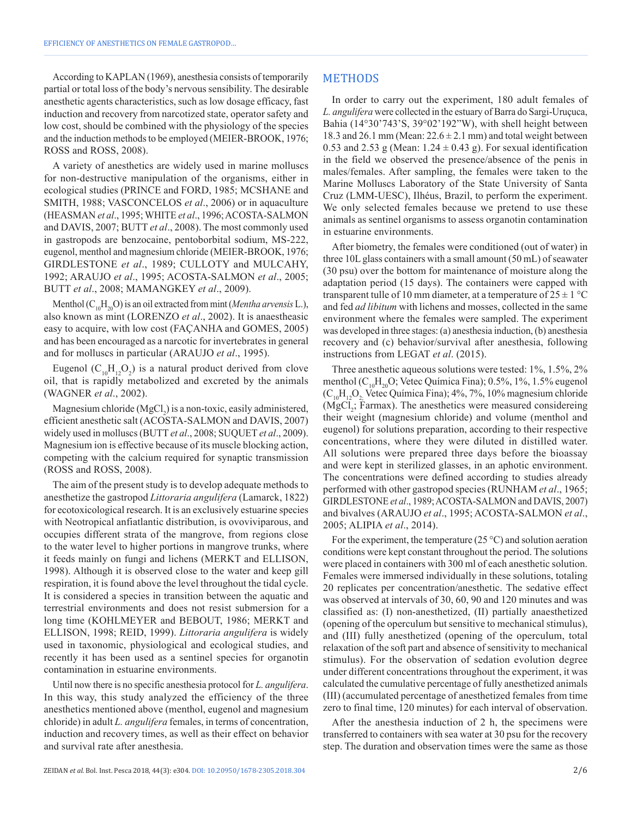According to KAPLAN (1969), anesthesia consists of temporarily partial or total loss of the body's nervous sensibility. The desirable anesthetic agents characteristics, such as low dosage efficacy, fast induction and recovery from narcotized state, operator safety and low cost, should be combined with the physiology of the species and the induction methods to be employed (MEIER-BROOK, 1976; ROSS and ROSS, 2008).

A variety of anesthetics are widely used in marine molluscs for non-destructive manipulation of the organisms, either in ecological studies (PRINCE and FORD, 1985; MCSHANE and SMITH, 1988; VASCONCELOS *et al*., 2006) or in aquaculture (HEASMAN *et al*., 1995; WHITE *et al*., 1996; ACOSTA-SALMON and DAVIS, 2007; BUTT *et al*., 2008). The most commonly used in gastropods are benzocaine, pentoborbital sodium, MS-222, eugenol, menthol and magnesium chloride (MEIER-BROOK, 1976; GIRDLESTONE *et al*., 1989; CULLOTY and MULCAHY, 1992; ARAUJO *et al*., 1995; ACOSTA-SALMON *et al*., 2005; BUTT *et al*., 2008; MAMANGKEY *et al*., 2009).

Menthol  $(C_{10}H_{20}O)$  is an oil extracted from mint (*Mentha arvensis* L.), also known as mint (LORENZO *et al*., 2002). It is anaestheasic easy to acquire, with low cost (FAÇANHA and GOMES, 2005) and has been encouraged as a narcotic for invertebrates in general and for molluscs in particular (ARAUJO *et al*., 1995).

Eugenol ( $C_{10}H_{12}O_2$ ) is a natural product derived from clove oil, that is rapidly metabolized and excreted by the animals (WAGNER *et al*., 2002).

Magnesium chloride  $(MgCl<sub>2</sub>)$  is a non-toxic, easily administered, efficient anesthetic salt (ACOSTA-SALMON and DAVIS, 2007) widely used in molluscs (BUTT *et al*., 2008; SUQUET *et al*., 2009). Magnesium ion is effective because of its muscle blocking action, competing with the calcium required for synaptic transmission (ROSS and ROSS, 2008).

The aim of the present study is to develop adequate methods to anesthetize the gastropod *Littoraria angulifera* (Lamarck, 1822) for ecotoxicological research. It is an exclusively estuarine species with Neotropical anfiatlantic distribution, is ovoviviparous, and occupies different strata of the mangrove, from regions close to the water level to higher portions in mangrove trunks, where it feeds mainly on fungi and lichens (MERKT and ELLISON, 1998). Although it is observed close to the water and keep gill respiration, it is found above the level throughout the tidal cycle. It is considered a species in transition between the aquatic and terrestrial environments and does not resist submersion for a long time (KOHLMEYER and BEBOUT, 1986; MERKT and ELLISON, 1998; REID, 1999). *Littoraria angulifera* is widely used in taxonomic, physiological and ecological studies, and recently it has been used as a sentinel species for organotin contamination in estuarine environments.

Until now there is no specific anesthesia protocol for *L. angulifera*. In this way, this study analyzed the efficiency of the three anesthetics mentioned above (menthol, eugenol and magnesium chloride) in adult *L. angulifera* females, in terms of concentration, induction and recovery times, as well as their effect on behavior and survival rate after anesthesia.

In order to carry out the experiment, 180 adult females of *L. angulifera* were collected in the estuary of Barra do Sargi-Uruçuca, Bahia (14°30'743'S, 39°02'192"W), with shell height between 18.3 and 26.1 mm (Mean:  $22.6 \pm 2.1$  mm) and total weight between 0.53 and 2.53 g (Mean:  $1.24 \pm 0.43$  g). For sexual identification in the field we observed the presence/absence of the penis in males/females. After sampling, the females were taken to the Marine Molluscs Laboratory of the State University of Santa Cruz (LMM-UESC), Ilhéus, Brazil, to perform the experiment. We only selected females because we pretend to use these animals as sentinel organisms to assess organotin contamination in estuarine environments.

After biometry, the females were conditioned (out of water) in three 10L glass containers with a small amount (50 mL) of seawater (30 psu) over the bottom for maintenance of moisture along the adaptation period (15 days). The containers were capped with transparent tulle of 10 mm diameter, at a temperature of  $25 \pm 1$  °C and fed *ad libitum* with lichens and mosses, collected in the same environment where the females were sampled. The experiment was developed in three stages: (a) anesthesia induction, (b) anesthesia recovery and (c) behavior/survival after anesthesia, following instructions from LEGAT *et al*. (2015).

Three anesthetic aqueous solutions were tested: 1%, 1.5%, 2% menthol  $(C_{10}H_{20}O;$  Vetec Química Fina); 0.5%, 1%, 1.5% eugenol  $(C_{10}H_{12}O_2)$ . Vetec Química Fina); 4%, 7%, 10% magnesium chloride  $(MgCl<sub>2</sub>; Farmax)$ . The anesthetics were measured considereing their weight (magnesium chloride) and volume (menthol and eugenol) for solutions preparation, according to their respective concentrations, where they were diluted in distilled water. All solutions were prepared three days before the bioassay and were kept in sterilized glasses, in an aphotic environment. The concentrations were defined according to studies already performed with other gastropod species (RUNHAM *et al*., 1965; GIRDLESTONE *et al*., 1989; ACOSTA-SALMON and DAVIS, 2007) and bivalves (ARAUJO *et al*., 1995; ACOSTA-SALMON *et al*., 2005; ALIPIA *et al*., 2014).

For the experiment, the temperature  $(25 \degree C)$  and solution aeration conditions were kept constant throughout the period. The solutions were placed in containers with 300 ml of each anesthetic solution. Females were immersed individually in these solutions, totaling 20 replicates per concentration/anesthetic. The sedative effect was observed at intervals of 30, 60, 90 and 120 minutes and was classified as: (I) non-anesthetized, (II) partially anaesthetized (opening of the operculum but sensitive to mechanical stimulus), and (III) fully anesthetized (opening of the operculum, total relaxation of the soft part and absence of sensitivity to mechanical stimulus). For the observation of sedation evolution degree under different concentrations throughout the experiment, it was calculated the cumulative percentage of fully anesthetized animals (III) (accumulated percentage of anesthetized females from time zero to final time, 120 minutes) for each interval of observation.

After the anesthesia induction of 2 h, the specimens were transferred to containers with sea water at 30 psu for the recovery step. The duration and observation times were the same as those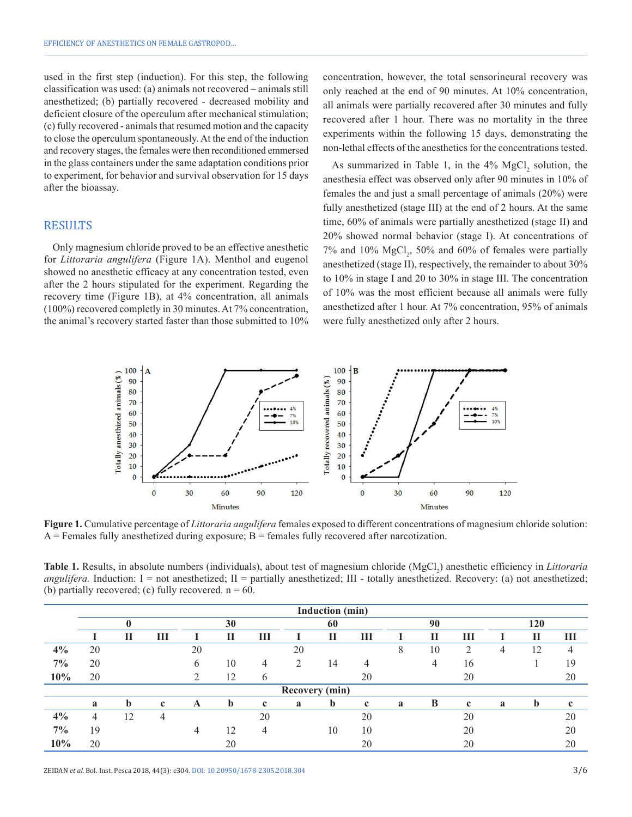used in the first step (induction). For this step, the following classification was used: (a) animals not recovered – animals still anesthetized; (b) partially recovered - decreased mobility and deficient closure of the operculum after mechanical stimulation; (c) fully recovered - animals that resumed motion and the capacity to close the operculum spontaneously. At the end of the induction and recovery stages, the females were then reconditioned emmersed in the glass containers under the same adaptation conditions prior to experiment, for behavior and survival observation for 15 days after the bioassay.

#### RESULTS

Only magnesium chloride proved to be an effective anesthetic for *Littoraria angulifera* (Figure 1A). Menthol and eugenol showed no anesthetic efficacy at any concentration tested, even after the 2 hours stipulated for the experiment. Regarding the recovery time (Figure 1B), at 4% concentration, all animals (100%) recovered completly in 30 minutes. At 7% concentration, the animal's recovery started faster than those submitted to 10% concentration, however, the total sensorineural recovery was only reached at the end of 90 minutes. At 10% concentration, all animals were partially recovered after 30 minutes and fully recovered after 1 hour. There was no mortality in the three experiments within the following 15 days, demonstrating the non-lethal effects of the anesthetics for the concentrations tested.

As summarized in Table 1, in the  $4\%$  MgCl<sub>2</sub> solution, the anesthesia effect was observed only after 90 minutes in 10% of females the and just a small percentage of animals (20%) were fully anesthetized (stage III) at the end of 2 hours. At the same time, 60% of animals were partially anesthetized (stage II) and 20% showed normal behavior (stage I). At concentrations of  $7\%$  and  $10\%$  MgCl<sub>2</sub>, 50% and 60% of females were partially anesthetized (stage II), respectively, the remainder to about 30% to 10% in stage I and 20 to 30% in stage III. The concentration of 10% was the most efficient because all animals were fully anesthetized after 1 hour. At 7% concentration, 95% of animals were fully anesthetized only after 2 hours.



**Figure 1.** Cumulative percentage of *Littoraria angulifera* females exposed to different concentrations of magnesium chloride solution:  $A$  = Females fully anesthetized during exposure;  $B$  = females fully recovered after narcotization.

**Table 1.** Results, in absolute numbers (individuals), about test of magnesium chloride (MgCl<sub>2</sub>) anesthetic efficiency in *Littoraria angulifera*. Induction:  $I =$  not anesthetized;  $II =$  partially anesthetized;  $III -$  totally anesthetized. Recovery: (a) not anesthetized; (b) partially recovered; (c) fully recovered.  $n = 60$ .

|                       | Induction (min) |    |             |    |    |               |               |             |             |    |    |                |     |             |             |
|-----------------------|-----------------|----|-------------|----|----|---------------|---------------|-------------|-------------|----|----|----------------|-----|-------------|-------------|
|                       | $\mathbf 0$     |    |             | 30 |    |               | 60            |             |             | 90 |    |                | 120 |             |             |
|                       |                 | П  | Ш           |    | Н  | Ш             |               | П           | Ш           |    | П  | Ш              |     | П           | Ш           |
| 4%                    | 20              |    |             | 20 |    |               | 20            |             |             | 8  | 10 | $\overline{2}$ | 4   | 12          | 4           |
| $7\%$                 | 20              |    |             | 6  | 10 | 4             | $\mathcal{L}$ | 14          | 4           |    | 4  | 16             |     |             | 19          |
| 10%                   | 20              |    |             |    | 12 | $\mathfrak b$ |               |             | 20          |    |    | 20             |     |             | 20          |
| <b>Recovery (min)</b> |                 |    |             |    |    |               |               |             |             |    |    |                |     |             |             |
|                       | a               | b  | $\mathbf c$ | A  | b  | $\mathbf c$   | a             | $\mathbf b$ | $\mathbf c$ | a  | B  | $\mathbf c$    | a   | $\mathbf b$ | $\mathbf c$ |
| 4%                    | 4               | 12 | 4           |    |    | 20            |               |             | 20          |    |    | 20             |     |             | 20          |
| $7\%$                 | 19              |    |             | 4  | 12 | 4             |               | 10          | 10          |    |    | 20             |     |             | 20          |
| 10%                   | 20              |    |             |    | 20 |               |               |             | 20          |    |    | 20             |     |             | 20          |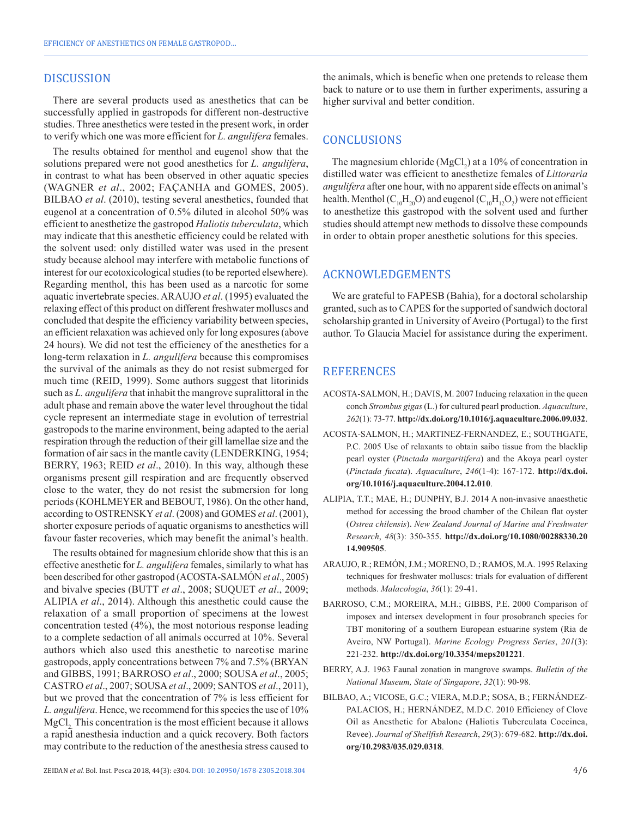## DISCUSSION

There are several products used as anesthetics that can be successfully applied in gastropods for different non-destructive studies. Three anesthetics were tested in the present work, in order to verify which one was more efficient for *L. angulifera* females.

The results obtained for menthol and eugenol show that the solutions prepared were not good anesthetics for *L. angulifera*, in contrast to what has been observed in other aquatic species (WAGNER *et al*., 2002; FAÇANHA and GOMES, 2005). BILBAO *et al*. (2010), testing several anesthetics, founded that eugenol at a concentration of 0.5% diluted in alcohol 50% was efficient to anesthetize the gastropod *Haliotis tuberculata*, which may indicate that this anesthetic efficiency could be related with the solvent used: only distilled water was used in the present study because alchool may interfere with metabolic functions of interest for our ecotoxicological studies (to be reported elsewhere). Regarding menthol, this has been used as a narcotic for some aquatic invertebrate species. ARAUJO *et al*. (1995) evaluated the relaxing effect of this product on different freshwater molluscs and concluded that despite the efficiency variability between species, an efficient relaxation was achieved only for long exposures (above 24 hours). We did not test the efficiency of the anesthetics for a long-term relaxation in *L. angulifera* because this compromises the survival of the animals as they do not resist submerged for much time (REID, 1999). Some authors suggest that litorinids such as *L. angulifera* that inhabit the mangrove supralittoral in the adult phase and remain above the water level throughout the tidal cycle represent an intermediate stage in evolution of terrestrial gastropods to the marine environment, being adapted to the aerial respiration through the reduction of their gill lamellae size and the formation of air sacs in the mantle cavity (LENDERKING, 1954; BERRY, 1963; REID *et al*., 2010). In this way, although these organisms present gill respiration and are frequently observed close to the water, they do not resist the submersion for long periods (KOHLMEYER and BEBOUT, 1986). On the other hand, according to OSTRENSKY *et al*. (2008) and GOMES *et al*. (2001), shorter exposure periods of aquatic organisms to anesthetics will favour faster recoveries, which may benefit the animal's health.

The results obtained for magnesium chloride show that this is an effective anesthetic for *L. angulifera* females, similarly to what has been described for other gastropod (ACOSTA-SALMÓN *et al*., 2005) and bivalve species (BUTT *et al*., 2008; SUQUET *et al*., 2009; ALIPIA *et al*., 2014). Although this anesthetic could cause the relaxation of a small proportion of specimens at the lowest concentration tested (4%), the most notorious response leading to a complete sedaction of all animals occurred at 10%. Several authors which also used this anesthetic to narcotise marine gastropods, apply concentrations between 7% and 7.5% (BRYAN and GIBBS, 1991; BARROSO *et al*., 2000; SOUSA *et al*., 2005; CASTRO *et al*., 2007; SOUSA*et al*., 2009; SANTOS *et al*., 2011), but we proved that the concentration of 7% is less efficient for *L. angulifera*. Hence, we recommend for this species the use of 10% MgCl, This concentration is the most efficient because it allows a rapid anesthesia induction and a quick recovery. Both factors may contribute to the reduction of the anesthesia stress caused to the animals, which is benefic when one pretends to release them back to nature or to use them in further experiments, assuring a higher survival and better condition.

## CONCLUSIONS

The magnesium chloride  $(MgCl<sub>2</sub>)$  at a 10% of concentration in distilled water was efficient to anesthetize females of *Littoraria angulifera* after one hour, with no apparent side effects on animal's health. Menthol ( $C_{10}H_{20}O$ ) and eugenol ( $C_{10}H_{12}O_2$ ) were not efficient to anesthetize this gastropod with the solvent used and further studies should attempt new methods to dissolve these compounds in order to obtain proper anesthetic solutions for this species.

#### ACKNOWLEDGEMENTS

We are grateful to FAPESB (Bahia), for a doctoral scholarship granted, such as to CAPES for the supported of sandwich doctoral scholarship granted in University of Aveiro (Portugal) to the first author. To Glaucia Maciel for assistance during the experiment.

## **REFERENCES**

- ACOSTA-SALMON, H.; DAVIS, M. 2007 Inducing relaxation in the queen conch *Strombus gigas* (L.) for cultured pearl production. *Aquaculture*, *262*(1): 73-77. **[http://dx.doi.org/10.1016/j.aquaculture.2006.09.032](https://doi.org/10.1016/j.aquaculture.2006.09.032)**.
- ACOSTA-SALMON, H.; MARTINEZ-FERNANDEZ, E.; SOUTHGATE, P.C. 2005 Use of relaxants to obtain saibo tissue from the blacklip pearl oyster (*Pinctada margaritifera*) and the Akoya pearl oyster (*Pinctada fucata*). *Aquaculture*, *246*(1-4): 167-172. **[http://dx.doi.](https://doi.org/10.1016/j.aquaculture.2004.12.010) [org/10.1016/j.aquaculture.2004.12.010](https://doi.org/10.1016/j.aquaculture.2004.12.010)**.
- ALIPIA, T.T.; MAE, H.; DUNPHY, B.J. 2014 A non-invasive anaesthetic method for accessing the brood chamber of the Chilean flat oyster (*Ostrea chilensis*). *New Zealand Journal of Marine and Freshwater Research*, *48*(3): 350-355. **[http://dx.doi.org/10.1080/00288330.20](https://doi.org/10.1080/00288330.2014.909505) [14.909505](https://doi.org/10.1080/00288330.2014.909505)**.
- ARAUJO, R.; REMÓN, J.M.; MORENO, D.; RAMOS, M.A. 1995 Relaxing techniques for freshwater molluscs: trials for evaluation of different methods. *Malacologia*, *36*(1): 29-41.
- BARROSO, C.M.; MOREIRA, M.H.; GIBBS, P.E. 2000 Comparison of imposex and intersex development in four prosobranch species for TBT monitoring of a southern European estuarine system (Ria de Aveiro, NW Portugal). *Marine Ecology Progress Series*, *201*(3): 221-232. **[http://dx.doi.org/10.3354/meps201221](https://doi.org/10.3354/meps201221)**.
- BERRY, A.J. 1963 Faunal zonation in mangrove swamps. *Bulletin of the National Museum, State of Singapore*, *32*(1): 90-98.
- BILBAO, A.; VICOSE, G.C.; VIERA, M.D.P.; SOSA, B.; FERNÁNDEZ-PALACIOS, H.; HERNÁNDEZ, M.D.C. 2010 Efficiency of Clove Oil as Anesthetic for Abalone (Haliotis Tuberculata Coccinea, Revee). *Journal of Shellfish Research*, *29*(3): 679-682. **[http://dx.doi.](https://doi.org/10.2983/035.029.0318) [org/10.2983/035.029.0318](https://doi.org/10.2983/035.029.0318)**.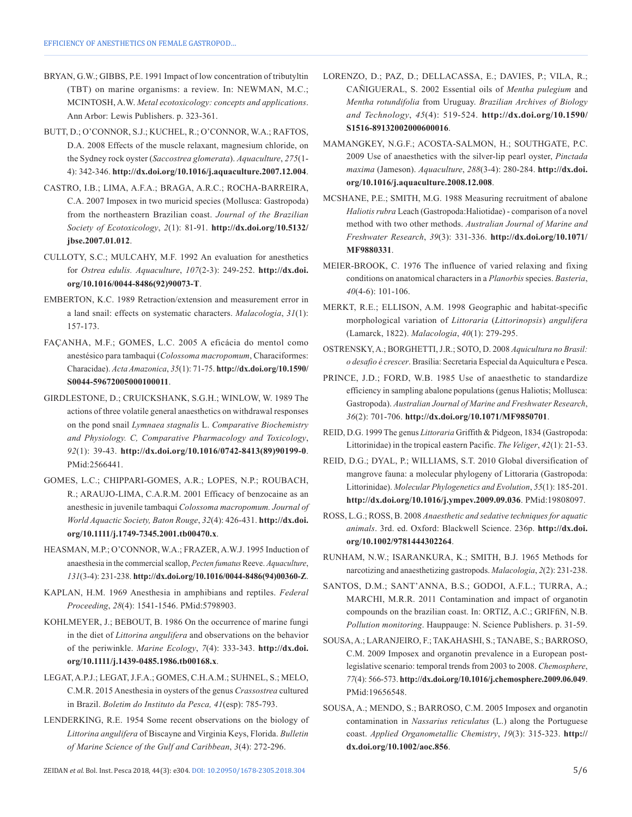- BRYAN, G.W.; GIBBS, P.E. 1991 Impact of low concentration of tributyltin (TBT) on marine organisms: a review. In: NEWMAN, M.C.; MCINTOSH, A.W. *Metal ecotoxicology: concepts and applications*. Ann Arbor: Lewis Publishers. p. 323-361.
- BUTT, D.; O'CONNOR, S.J.; KUCHEL, R.; O'CONNOR, W.A.; RAFTOS, D.A. 2008 Effects of the muscle relaxant, magnesium chloride, on the Sydney rock oyster (*Saccostrea glomerata*). *Aquaculture*, *275*(1- 4): 342-346. **[http://dx.doi.org/10.1016/j.aquaculture.2007.12.004](https://doi.org/10.1016/j.aquaculture.2007.12.004)**.
- CASTRO, I.B.; LIMA, A.F.A.; BRAGA, A.R.C.; ROCHA-BARREIRA, C.A. 2007 Imposex in two muricid species (Mollusca: Gastropoda) from the northeastern Brazilian coast. *Journal of the Brazilian Society of Ecotoxicology*, *2*(1): 81-91. **[http://dx.doi.org/10.5132/](https://doi.org/10.5132/jbse.2007.01.012) [jbse.2007.01.012](https://doi.org/10.5132/jbse.2007.01.012)**.
- CULLOTY, S.C.; MULCAHY, M.F. 1992 An evaluation for anesthetics for *Ostrea edulis. Aquaculture*, *107*(2-3): 249-252. **[http://dx.doi.](https://doi.org/10.1016/0044-8486(92)90073-T) [org/10.1016/0044-8486\(92\)90073-T](https://doi.org/10.1016/0044-8486(92)90073-T)**.
- EMBERTON, K.C. 1989 Retraction/extension and measurement error in a land snail: effects on systematic characters. *Malacologia*, *31*(1): 157-173.
- FAÇANHA, M.F.; GOMES, L.C. 2005 A eficácia do mentol como anestésico para tambaqui (*Colossoma macropomum*, Characiformes: Characidae). *Acta Amazonica*, *35*(1): 71-75. **[http://dx.doi.org/10.1590/](https://doi.org/10.1590/S0044-59672005000100011) [S0044-59672005000100011](https://doi.org/10.1590/S0044-59672005000100011)**.
- GIRDLESTONE, D.; CRUICKSHANK, S.G.H.; WINLOW, W. 1989 The actions of three volatile general anaesthetics on withdrawal responses on the pond snail *Lymnaea stagnalis* L. *Comparative Biochemistry and Physiology. C, Comparative Pharmacology and Toxicology*, *92*(1): 39-43. **[http://dx.doi.org/10.1016/0742-8413\(89\)90199-0](https://doi.org/10.1016/0742-8413(89)90199-0)**. [PMid:2566441.](https://www.ncbi.nlm.nih.gov/entrez/query.fcgi?cmd=Retrieve&db=PubMed&list_uids=2566441&dopt=Abstract)
- GOMES, L.C.; CHIPPARI-GOMES, A.R.; LOPES, N.P.; ROUBACH, R.; ARAUJO-LIMA, C.A.R.M. 2001 Efficacy of benzocaine as an anesthesic in juvenile tambaqui *Colossoma macropomum. Journal of World Aquactic Society, Baton Rouge*, *32*(4): 426-431. **[http://dx.doi.](https://doi.org/10.1111/j.1749-7345.2001.tb00470.x) [org/10.1111/j.1749-7345.2001.tb00470.x](https://doi.org/10.1111/j.1749-7345.2001.tb00470.x)**.
- HEASMAN, M.P.; O'CONNOR, W.A.; FRAZER, A.W.J. 1995 Induction of anaesthesia in the commercial scallop, *Pecten fumatus* Reeve. *Aquaculture*, *131*(3-4): 231-238. **[http://dx.doi.org/10.1016/0044-8486\(94\)00360-Z](https://doi.org/10.1016/0044-8486(94)00360-Z)**.
- KAPLAN, H.M. 1969 Anesthesia in amphibians and reptiles. *Federal Proceeding*, *28*(4): 1541-1546. PMid:5798903.
- KOHLMEYER, J.; BEBOUT, B. 1986 On the occurrence of marine fungi in the diet of *Littorina angulifera* and observations on the behavior of the periwinkle. *Marine Ecology*, *7*(4): 333-343. **[http://dx.doi.](https://doi.org/10.1111/j.1439-0485.1986.tb00168.x) [org/10.1111/j.1439-0485.1986.tb00168.x](https://doi.org/10.1111/j.1439-0485.1986.tb00168.x)**.
- LEGAT, A.P.J.; LEGAT, J.F.A.; GOMES, C.H.A.M.; SUHNEL, S.; MELO, C.M.R. 2015 Anesthesia in oysters of the genus *Crassostrea* cultured in Brazil. *Boletim do Instituto da Pesca, 41*(esp): 785-793.
- LENDERKING, R.E. 1954 Some recent observations on the biology of *Littorina angulifera* of Biscayne and Virginia Keys, Florida. *Bulletin of Marine Science of the Gulf and Caribbean*, *3*(4): 272-296.
- LORENZO, D.; PAZ, D.; DELLACASSA, E.; DAVIES, P.; VILA, R.; CAÑIGUERAL, S. 2002 Essential oils of *Mentha pulegium* and *Mentha rotundifolia* from Uruguay. *Brazilian Archives of Biology and Technology*, *45*(4): 519-524. **[http://dx.doi.org/10.1590/](https://doi.org/10.1590/S1516-89132002000600016) [S1516-89132002000600016](https://doi.org/10.1590/S1516-89132002000600016)**.
- MAMANGKEY, N.G.F.; ACOSTA-SALMON, H.; SOUTHGATE, P.C. 2009 Use of anaesthetics with the silver-lip pearl oyster, *Pinctada maxima* (Jameson). *Aquaculture*, *288*(3-4): 280-284. **[http://dx.doi.](https://doi.org/10.1016/j.aquaculture.2008.12.008) [org/10.1016/j.aquaculture.2008.12.008](https://doi.org/10.1016/j.aquaculture.2008.12.008)**.
- MCSHANE, P.E.; SMITH, M.G. 1988 Measuring recruitment of abalone *Haliotis rubra* Leach (Gastropoda:Haliotidae) - comparison of a novel method with two other methods. *Australian Journal of Marine and Freshwater Research*, *39*(3): 331-336. **[http://dx.doi.org/10.1071/](https://doi.org/10.1071/MF9880331) [MF9880331](https://doi.org/10.1071/MF9880331)**.
- MEIER-BROOK, C. 1976 The influence of varied relaxing and fixing conditions on anatomical characters in a *Planorbis* species. *Basteria*, *40*(4-6): 101-106.
- MERKT, R.E.; ELLISON, A.M. 1998 Geographic and habitat-specific morphological variation of *Littoraria* (*Littorinopsis*) *angulifera* (Lamarck, 1822). *Malacologia*, *40*(1): 279-295.
- OSTRENSKY, A.; BORGHETTI, J.R.; SOTO, D. 2008 *Aquicultura no Brasil: o desafio é crescer*. Brasília: Secretaria Especial da Aquicultura e Pesca.
- PRINCE, J.D.; FORD, W.B. 1985 Use of anaesthetic to standardize efficiency in sampling abalone populations (genus Haliotis; Mollusca: Gastropoda). *Australian Journal of Marine and Freshwater Research*, *36*(2): 701-706. **[http://dx.doi.org/10.1071/MF9850701](https://doi.org/10.1071/MF9850701)**.
- REID, D.G. 1999 The genus *Littoraria* Griffith & Pidgeon, 1834 (Gastropoda: Littorinidae) in the tropical eastern Pacific. *The Veliger*, *42*(1): 21-53.
- REID, D.G.; DYAL, P.; WILLIAMS, S.T. 2010 Global diversification of mangrove fauna: a molecular phylogeny of Littoraria (Gastropoda: Littorinidae). *Molecular Phylogenetics and Evolution*, *55*(1): 185-201. **[http://dx.doi.org/10.1016/j.ympev.2009.09.036](https://doi.org/10.1016/j.ympev.2009.09.036)**. [PMid:19808097.](https://www.ncbi.nlm.nih.gov/entrez/query.fcgi?cmd=Retrieve&db=PubMed&list_uids=19808097&dopt=Abstract)
- ROSS, L.G.; ROSS, B. 2008 *Anaesthetic and sedative techniques for aquatic animals*. 3rd. ed. Oxford: Blackwell Science. 236p. **[http://dx.doi.](https://doi.org/10.1002/9781444302264) [org/10.1002/9781444302264](https://doi.org/10.1002/9781444302264)**.
- RUNHAM, N.W.; ISARANKURA, K.; SMITH, B.J. 1965 Methods for narcotizing and anaesthetizing gastropods. *Malacologia*, *2*(2): 231-238.
- SANTOS, D.M.; SANT'ANNA, B.S.; GODOI, A.F.L.; TURRA, A.; MARCHI, M.R.R. 2011 Contamination and impact of organotin compounds on the brazilian coast. In: ORTIZ, A.C.; GRIFfiN, N.B. *Pollution monitoring*. Hauppauge: N. Science Publishers. p. 31-59.
- SOUSA, A.; LARANJEIRO, F.; TAKAHASHI, S.; TANABE, S.; BARROSO, C.M. 2009 Imposex and organotin prevalence in a European postlegislative scenario: temporal trends from 2003 to 2008. *Chemosphere*, *77*(4): 566-573. **[http://dx.doi.org/10.1016/j.chemosphere.2009.06.049](https://doi.org/10.1016/j.chemosphere.2009.06.049)**. [PMid:19656548.](https://www.ncbi.nlm.nih.gov/entrez/query.fcgi?cmd=Retrieve&db=PubMed&list_uids=19656548&dopt=Abstract)
- SOUSA, A.; MENDO, S.; BARROSO, C.M. 2005 Imposex and organotin contamination in *Nassarius reticulatus* (L.) along the Portuguese coast. *Applied Organometallic Chemistry*, *19*(3): 315-323. **[http://](https://doi.org/10.1002/aoc.856) [dx.doi.org/10.1002/aoc.856](https://doi.org/10.1002/aoc.856)**.